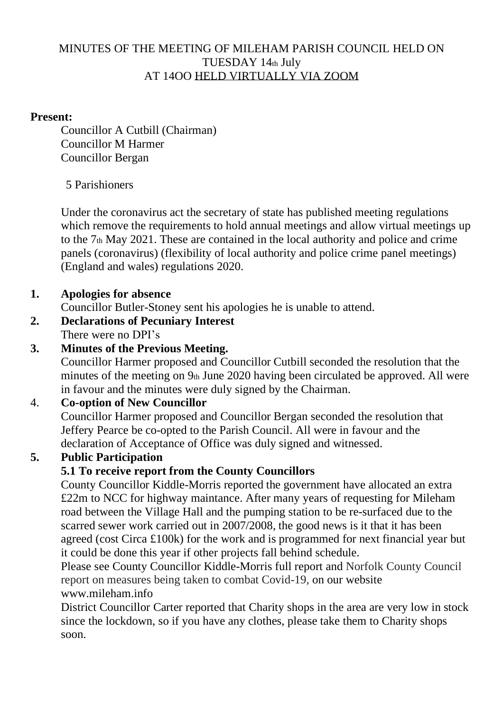#### MINUTES OF THE MEETING OF MILEHAM PARISH COUNCIL HELD ON TUESDAY 14th July AT 14OO HELD VIRTUALLY VIA ZOOM

#### **Present:**

Councillor A Cutbill (Chairman) Councillor M Harmer Councillor Bergan

## 5 Parishioners

Under the coronavirus act the secretary of state has published meeting regulations which remove the requirements to hold annual meetings and allow virtual meetings up to the 7th May 2021. These are contained in the local authority and police and crime panels (coronavirus) (flexibility of local authority and police crime panel meetings) (England and wales) regulations 2020.

## **1. Apologies for absence**

Councillor Butler-Stoney sent his apologies he is unable to attend.

## **2. Declarations of Pecuniary Interest**

There were no DPI's

## **3. Minutes of the Previous Meeting.**

Councillor Harmer proposed and Councillor Cutbill seconded the resolution that the minutes of the meeting on 9th June 2020 having been circulated be approved. All were in favour and the minutes were duly signed by the Chairman.

## 4. **Co-option of New Councillor**

Councillor Harmer proposed and Councillor Bergan seconded the resolution that Jeffery Pearce be co-opted to the Parish Council. All were in favour and the declaration of Acceptance of Office was duly signed and witnessed.

## **5. Public Participation**

## **5.1 To receive report from the County Councillors**

County Councillor Kiddle-Morris reported the government have allocated an extra £22m to NCC for highway maintance. After many years of requesting for Mileham road between the Village Hall and the pumping station to be re-surfaced due to the scarred sewer work carried out in 2007/2008, the good news is it that it has been agreed (cost Circa £100k) for the work and is programmed for next financial year but it could be done this year if other projects fall behind schedule.

Please see County Councillor Kiddle-Morris full report and Norfolk County Council report on measures being taken to combat Covid-19, on our website www.mileham.info

District Councillor Carter reported that Charity shops in the area are very low in stock since the lockdown, so if you have any clothes, please take them to Charity shops soon.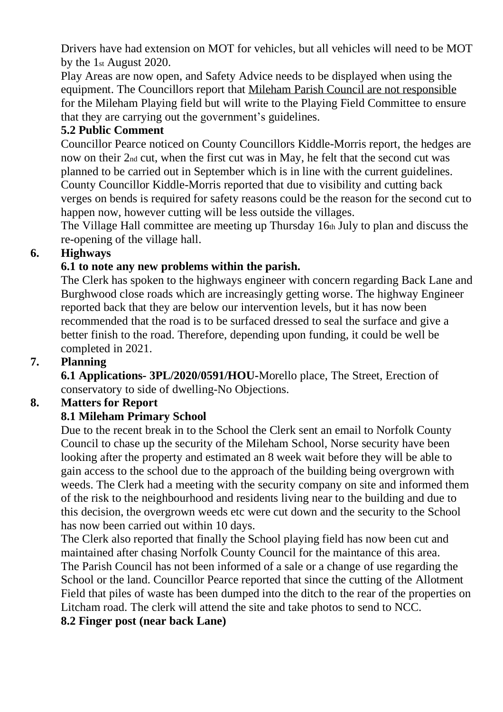Drivers have had extension on MOT for vehicles, but all vehicles will need to be MOT by the 1st August 2020.

Play Areas are now open, and Safety Advice needs to be displayed when using the equipment. The Councillors report that Mileham Parish Council are not responsible for the Mileham Playing field but will write to the Playing Field Committee to ensure that they are carrying out the government's guidelines.

#### **5.2 Public Comment**

Councillor Pearce noticed on County Councillors Kiddle-Morris report, the hedges are now on their 2nd cut, when the first cut was in May, he felt that the second cut was planned to be carried out in September which is in line with the current guidelines. County Councillor Kiddle-Morris reported that due to visibility and cutting back verges on bends is required for safety reasons could be the reason for the second cut to happen now, however cutting will be less outside the villages.

The Village Hall committee are meeting up Thursday 16th July to plan and discuss the re-opening of the village hall.

#### **6. Highways**

#### **6.1 to note any new problems within the parish.**

The Clerk has spoken to the highways engineer with concern regarding Back Lane and Burghwood close roads which are increasingly getting worse. The highway Engineer reported back that they are below our intervention levels, but it has now been recommended that the road is to be surfaced dressed to seal the surface and give a better finish to the road. Therefore, depending upon funding, it could be well be completed in 2021.

#### **7. Planning**

**6.1 Applications- 3PL/2020/0591/HOU-**Morello place, The Street, Erection of conservatory to side of dwelling-No Objections.

#### **8. Matters for Report**

## **8.1 Mileham Primary School**

Due to the recent break in to the School the Clerk sent an email to Norfolk County Council to chase up the security of the Mileham School, Norse security have been looking after the property and estimated an 8 week wait before they will be able to gain access to the school due to the approach of the building being overgrown with weeds. The Clerk had a meeting with the security company on site and informed them of the risk to the neighbourhood and residents living near to the building and due to this decision, the overgrown weeds etc were cut down and the security to the School has now been carried out within 10 days.

The Clerk also reported that finally the School playing field has now been cut and maintained after chasing Norfolk County Council for the maintance of this area. The Parish Council has not been informed of a sale or a change of use regarding the School or the land. Councillor Pearce reported that since the cutting of the Allotment Field that piles of waste has been dumped into the ditch to the rear of the properties on Litcham road. The clerk will attend the site and take photos to send to NCC. **8.2 Finger post (near back Lane)**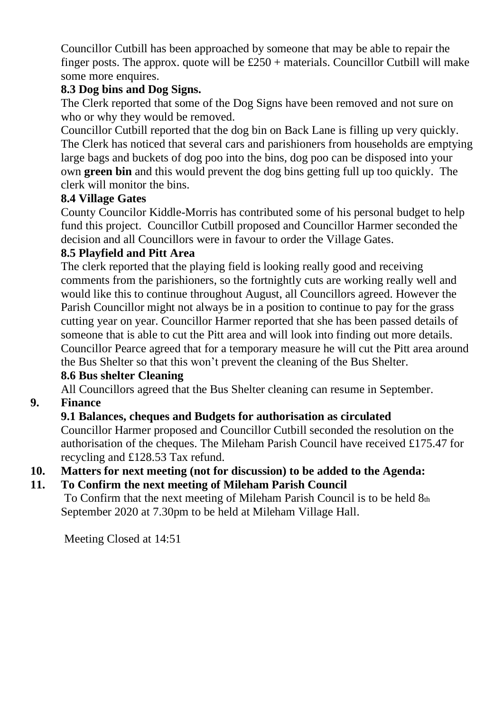Councillor Cutbill has been approached by someone that may be able to repair the finger posts. The approx. quote will be  $£250 +$  materials. Councillor Cutbill will make some more enquires.

## **8.3 Dog bins and Dog Signs.**

The Clerk reported that some of the Dog Signs have been removed and not sure on who or why they would be removed.

Councillor Cutbill reported that the dog bin on Back Lane is filling up very quickly. The Clerk has noticed that several cars and parishioners from households are emptying large bags and buckets of dog poo into the bins, dog poo can be disposed into your own **green bin** and this would prevent the dog bins getting full up too quickly. The clerk will monitor the bins.

#### **8.4 Village Gates**

County Councilor Kiddle-Morris has contributed some of his personal budget to help fund this project. Councillor Cutbill proposed and Councillor Harmer seconded the decision and all Councillors were in favour to order the Village Gates.

#### **8.5 Playfield and Pitt Area**

The clerk reported that the playing field is looking really good and receiving comments from the parishioners, so the fortnightly cuts are working really well and would like this to continue throughout August, all Councillors agreed. However the Parish Councillor might not always be in a position to continue to pay for the grass cutting year on year. Councillor Harmer reported that she has been passed details of someone that is able to cut the Pitt area and will look into finding out more details. Councillor Pearce agreed that for a temporary measure he will cut the Pitt area around the Bus Shelter so that this won't prevent the cleaning of the Bus Shelter.

## **8.6 Bus shelter Cleaning**

All Councillors agreed that the Bus Shelter cleaning can resume in September.

## **9. Finance**

#### **9.1 Balances, cheques and Budgets for authorisation as circulated**

Councillor Harmer proposed and Councillor Cutbill seconded the resolution on the authorisation of the cheques. The Mileham Parish Council have received £175.47 for recycling and £128.53 Tax refund.

#### **10. Matters for next meeting (not for discussion) to be added to the Agenda:**

## **11. To Confirm the next meeting of Mileham Parish Council**

To Confirm that the next meeting of Mileham Parish Council is to be held 8th September 2020 at 7.30pm to be held at Mileham Village Hall.

Meeting Closed at 14:51